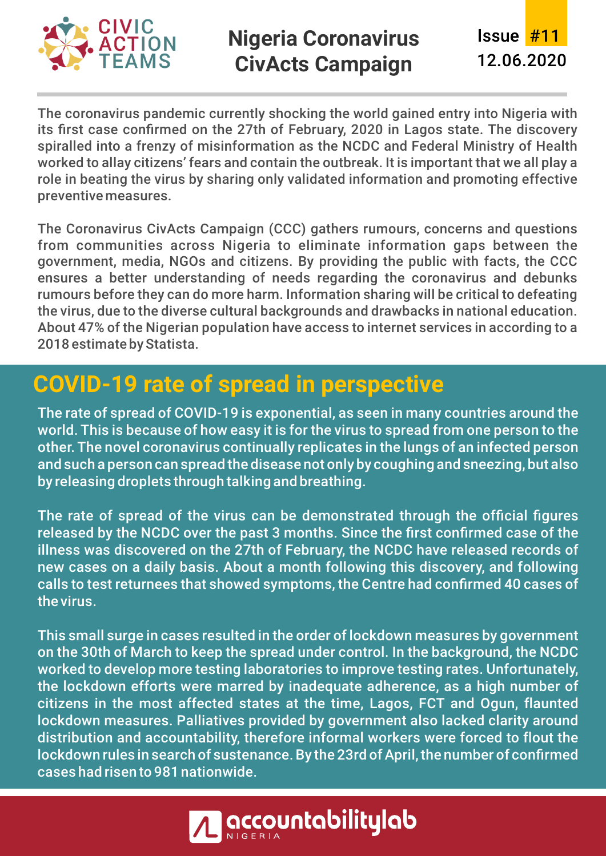

#### **Nigeria Coronavirus CivActs Campaign**

12.06.2020 **Issue #11** 

The coronavirus pandemic currently shocking the world gained entry into Nigeria with its first case confirmed on the 27th of February, 2020 in Lagos state. The discovery spiralled into a frenzy of misinformation as the NCDC and Federal Ministry of Health worked to allay citizens' fears and contain the outbreak. It is important that we all play a role in beating the virus by sharing only validated information and promoting effective preventive measures.

The Coronavirus CivActs Campaign (CCC) gathers rumours, concerns and questions from communities across Nigeria to eliminate information gaps between the government, media, NGOs and citizens. By providing the public with facts, the CCC ensures a better understanding of needs regarding the coronavirus and debunks rumours before they can do more harm. Information sharing will be critical to defeating the virus, due to the diverse cultural backgrounds and drawbacks in national education. About 47% of the Nigerian population have access to internet services in according to a 2018 estimate by Statista.

### **COVID-19 rate of spread in perspective**

The rate of spread of COVID-19 is exponential, as seen in many countries around the world. This is because of how easy it is for the virus to spread from one person to the other. The novel coronavirus continually replicates in the lungs of an infected person and such a person can spread the disease not only by coughing and sneezing, but also by releasing droplets through talking and breathing.

The rate of spread of the virus can be demonstrated through the official figures released by the NCDC over the past 3 months. Since the first confirmed case of the illness was discovered on the 27th of February, the NCDC have released records of new cases on a daily basis. About a month following this discovery, and following calls to test returnees that showed symptoms, the Centre had confirmed 40 cases of the virus.

This small surge in cases resulted in the order of lockdown measures by government on the 30th of March to keep the spread under control. In the background, the NCDC worked to develop more testing laboratories to improve testing rates. Unfortunately, the lockdown efforts were marred by inadequate adherence, as a high number of citizens in the most affected states at the time, Lagos, FCT and Ogun, flaunted lockdown measures. Palliatives provided by government also lacked clarity around distribution and accountability, therefore informal workers were forced to flout the lockdown rules in search of sustenance. By the 23rd of April, the number of confirmed cases had risen to 981 nationwide.

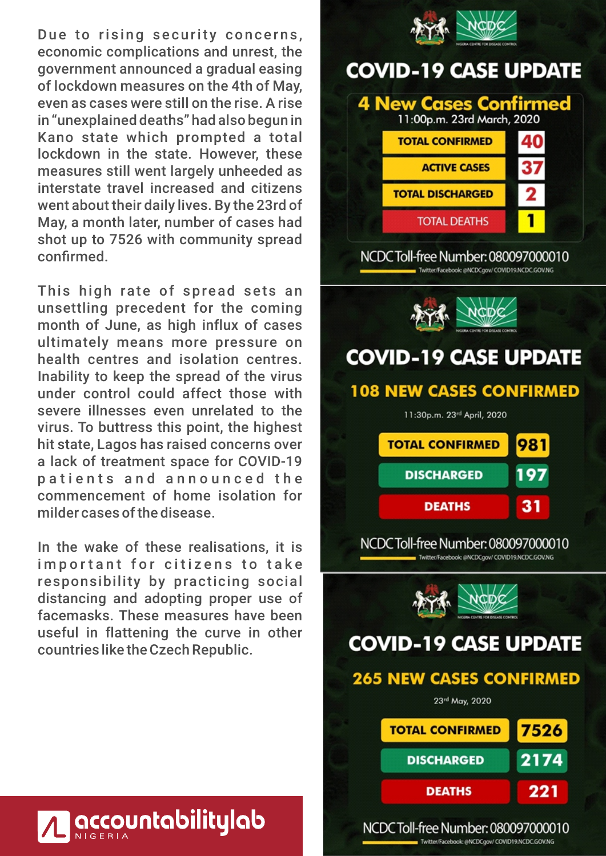Due to rising security concerns, economic complications and unrest, the government announced a gradual easing of lockdown measures on the 4th of May, even as cases were still on the rise. A rise in "unexplained deaths" had also begun in Kano state which prompted a total lockdown in the state. However, these measures still went largely unheeded as interstate travel increased and citizens went about their daily lives. By the 23rd of May, a month later, number of cases had shot up to 7526 with community spread confirmed.

This high rate of spread sets an unsettling precedent for the coming month of June, as high influx of cases ultimately means more pressure on health centres and isolation centres. Inability to keep the spread of the virus under control could affect those with severe illnesses even unrelated to the virus. To buttress this point, the highest hit state, Lagos has raised concerns over a lack of treatment space for COVID-19 patients and announced the commencement of home isolation for milder cases of the disease.

In the wake of these realisations, it is important for citizens to take responsibility by practicing social distancing and adopting proper use of facemasks. These measures have been useful in flattening the curve in other countries like the Czech Republic.



| 7526 |
|------|
| 2174 |
| 221  |
|      |

NCDCToll-free Number: 080097000010

Twitter/Facebook: @NCDCgov/ COVID19.NCDC.GOV.NG

# **accountabilitylab**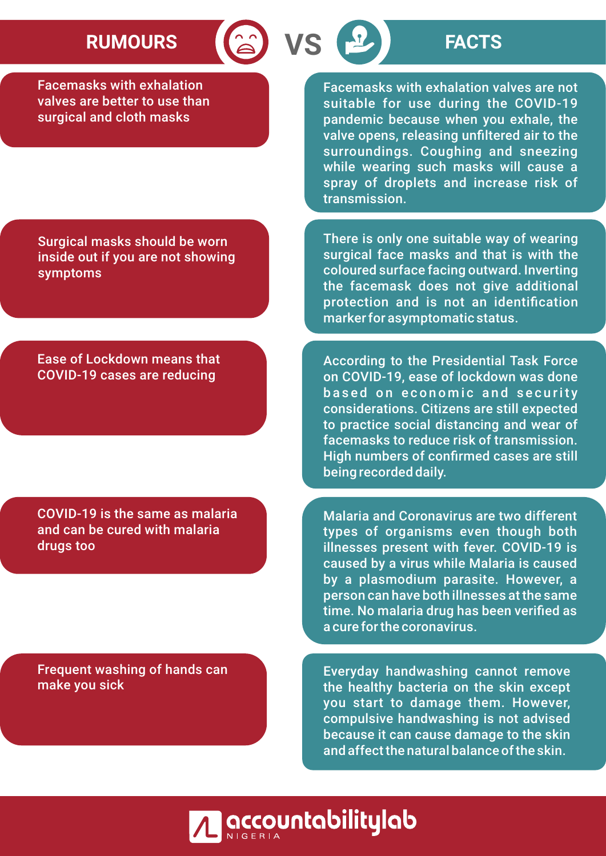## RUMOURS **8 VS P** FACTS

Facemasks with exhalation valves are better to use than surgical and cloth masks

Facemasks with exhalation valves are not suitable for use during the COVID-19 pandemic because when you exhale, the valve opens, releasing unfiltered air to the surroundings. Coughing and sneezing while wearing such masks will cause a spray of droplets and increase risk of transmission.

There is only one suitable way of wearing surgical face masks and that is with the coloured surface facing outward. Inverting the facemask does not give additional protection and is not an identification marker for asymptomatic status.

According to the Presidential Task Force on COVID-19, ease of lockdown was done based on economic and security considerations. Citizens are still expected to practice social distancing and wear of facemasks to reduce risk of transmission. High numbers of confirmed cases are still being recorded daily.

Malaria and Coronavirus are two different types of organisms even though both illnesses present with fever. COVID-19 is caused by a virus while Malaria is caused by a plasmodium parasite. However, a person can have both illnesses at the same time. No malaria drug has been verified as a cure for the coronavirus.

Everyday handwashing cannot remove the healthy bacteria on the skin except you start to damage them. However, compulsive handwashing is not advised because it can cause damage to the skin and affect the natural balance of the skin.

Surgical masks should be worn inside out if you are not showing symptoms

Ease of Lockdown means that COVID-19 cases are reducing

COVID-19 is the same as malaria and can be cured with malaria drugs too

Frequent washing of hands can make you sick